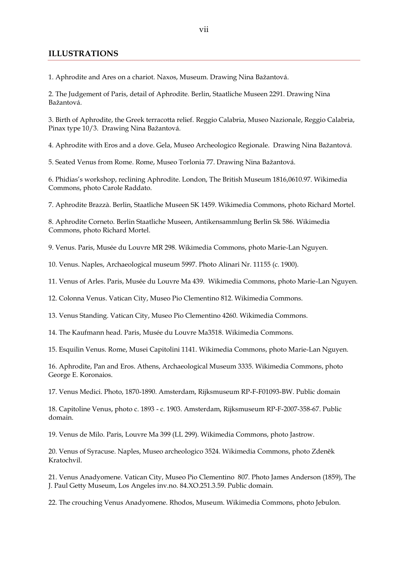## **ILLUSTRATIONS**

1. Aphrodite and Ares on a chariot. Naxos, Museum. Drawing Nina Bažantová.

2. The Judgement of Paris, detail of Aphrodite. Berlin, Staatliche Museen 2291. Drawing Nina Bažantová.

3. Birth of Aphrodite, the Greek terracotta relief. Reggio Calabria, Museo Nazionale, Reggio Calabria, Pinax type 10/3. Drawing Nina Bažantová.

4. Aphrodite with Eros and a dove. Gela, Museo Archeologico Regionale. Drawing Nina Bažantová.

5. Seated Venus from Rome. Rome, Museo Torlonia 77. Drawing Nina Bažantová.

6. Phidias's workshop, reclining Aphrodite. London, The British Museum 1816,0610.97. Wikimedia Commons, photo Carole Raddato.

7. Aphrodite Brazzà. Berlin, Staatliche Museen SK 1459. Wikimedia Commons, photo Richard Mortel.

8. Aphrodite Corneto. Berlin Staatliche Museen, Antikensammlung Berlin Sk 586. Wikimedia Commons, photo Richard Mortel.

9. Venus. Paris, Musée du Louvre MR 298. Wikimedia Commons, photo Marie-Lan Nguyen.

10. Venus. Naples, Archaeological museum 5997. Photo Alinari Nr. 11155 (c. 1900).

11. Venus of Arles. Paris, Musée du Louvre Ma 439. Wikimedia Commons, photo Marie-Lan Nguyen.

12. Colonna Venus. Vatican City, Museo Pio Clementino 812. Wikimedia Commons.

13. Venus Standing. Vatican City, Museo Pio Clementino 4260. Wikimedia Commons.

14. The Kaufmann head. Paris, Musée du Louvre Ma3518. Wikimedia Commons.

15. Esquilin Venus. Rome, Musei Capitolini 1141. Wikimedia Commons, photo Marie-Lan Nguyen.

16. Aphrodite, Pan and Eros. Athens, Archaeological Museum 3335. Wikimedia Commons, photo George E. Koronaios.

17. Venus Medici. Photo, 1870-1890. Amsterdam, Rijksmuseum RP-F-F01093-BW. Public domain

18. Capitoline Venus, photo c. 1893 - c. 1903. Amsterdam, Rijksmuseum RP-F-2007-358-67. Public domain.

19. Venus de Milo. Paris, Louvre Ma 399 (LL 299). Wikimedia Commons, photo Jastrow.

20. Venus of Syracuse. Naples, Museo archeologico 3524. Wikimedia Commons, photo Zdeněk Kratochvil.

21. Venus Anadyomene. Vatican City, Museo Pio Clementino 807. Photo James Anderson (1859), The J. Paul Getty Museum, Los Angeles inv.no. 84.XO.251.3.59. Public domain.

22. The crouching Venus Anadyomene. Rhodos, Museum. Wikimedia Commons, photo Jebulon.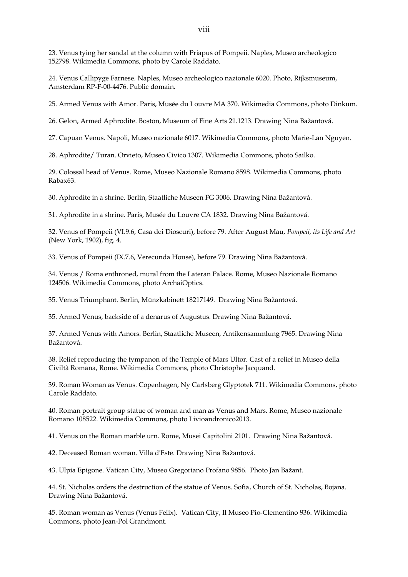23. Venus tying her sandal at the column with Priapus of Pompeii. Naples, Museo archeologico 152798. Wikimedia Commons, photo by Carole Raddato.

24. Venus Callipyge Farnese. Naples, Museo archeologico nazionale 6020. Photo, Rijksmuseum, Amsterdam RP-F-00-4476. Public domain.

25. Armed Venus with Amor. Paris, Musée du Louvre MA 370. Wikimedia Commons, photo Dinkum.

26. Gelon, Armed Aphrodite. Boston, Museum of Fine Arts 21.1213. Drawing Nina Bažantová.

27. Capuan Venus. Napoli, Museo nazionale 6017. Wikimedia Commons, photo Marie-Lan Nguyen.

28. Aphrodite/ Turan. Orvieto, Museo Civico 1307. Wikimedia Commons, photo Sailko.

29. Colossal head of Venus. Rome, Museo Nazionale Romano 8598. Wikimedia Commons, photo Rabax63.

30. Aphrodite in a shrine. Berlin, Staatliche Museen FG 3006. Drawing Nina Bažantová.

31. Aphrodite in a shrine. Paris, Musée du Louvre CA 1832. Drawing Nina Bažantová.

32. Venus of Pompeii (VI.9.6, Casa dei Dioscuri), before 79. After August Mau, *Pompeii, its Life and Art* (New York, 1902), fig. 4.

33. Venus of Pompeii (IX.7.6, Verecunda House), before 79. Drawing Nina Bažantová.

34. Venus / Roma enthroned, mural from the Lateran Palace. Rome, Museo Nazionale Romano 124506. Wikimedia Commons, photo ArchaiOptics.

35. Venus Triumphant. Berlin, Münzkabinett 18217149. Drawing Nina Bažantová.

35. Armed Venus, backside of a denarus of Augustus. Drawing Nina Bažantová.

37. Armed Venus with Amors. Berlin, Staatliche Museen, Antikensammlung 7965. Drawing Nina Bažantová.

38. Relief reproducing the tympanon of the Temple of Mars Ultor. Cast of a relief in Museo della Civiltà Romana, Rome. Wikimedia Commons, photo Christophe Jacquand.

39. Roman Woman as Venus. Copenhagen, Ny Carlsberg Glyptotek 711. Wikimedia Commons, photo Carole Raddato.

40. Roman portrait group statue of woman and man as Venus and Mars. Rome, Museo nazionale Romano 108522. Wikimedia Commons, photo Livioandronico2013.

41. Venus on the Roman marble urn. Rome, Musei Capitolini 2101. Drawing Nina Bažantová.

42. Deceased Roman woman. Villa d'Este. Drawing Nina Bažantová.

43. Ulpia Epigone. Vatican City, Museo Gregoriano Profano 9856. Photo Jan Bažant.

44. St. Nicholas orders the destruction of the statue of Venus. Sofia, Church of St. Nicholas, Bojana. Drawing Nina Bažantová.

45. Roman woman as Venus (Venus Felix). Vatican City, Il Museo Pio-Clementino 936. Wikimedia Commons, photo Jean-Pol Grandmont.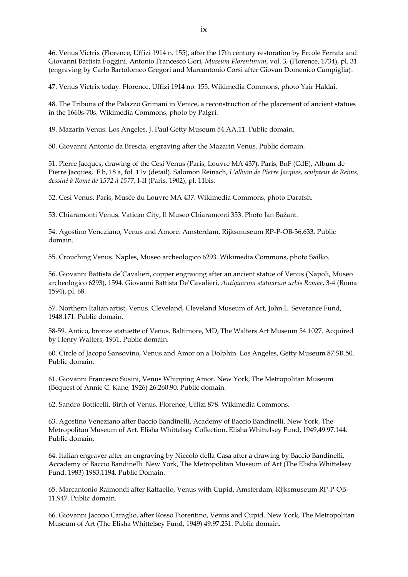46. Venus Victrix (Florence, Uffizi 1914 n. 155), after the 17th century restoration by Ercole Ferrata and Giovanni Battista Foggini. Antonio Francesco Gori, *Museum Florentinum*, vol. 3, (Florence, 1734), pl. 31 (engraving by Carlo Bartolomeo Gregori and Marcantonio Corsi after Giovan Domenico Campiglia).

47. Venus Victrix today. Florence, Uffizi 1914 no. 155. Wikimedia Commons, photo Yair Haklai.

48. The Tribuna of the Palazzo Grimani in Venice, a reconstruction of the placement of ancient statues in the 1660s-70s. Wikimedia Commons, photo by Palgri.

49. Mazarin Venus. Los Angeles, J. Paul Getty Museum 54.AA.11. Public domain.

50. Giovanni Antonio da Brescia, engraving after the Mazarin Venus. Public domain.

51. Pierre Jacques, drawing of the Cesi Venus (Paris, Louvre MA 437). Paris, BnF (CdE), Album de Pierre Jacques, F b, 18 a, fol. 11v (detail). Salomon Reinach, *L'album de Pierre Jacques, sculpteur de Reims, dessiné à Rome de 1572 à 1577*, I-II (Paris, 1902), pl. 11bis.

52. Cesi Venus. Paris, Musée du Louvre MA 437. Wikimedia Commons, photo Darafsh.

53. Chiaramonti Venus. Vatican City, Il Museo Chiaramonti 353. Photo Jan Bažant.

54. Agostino Veneziano, Venus and Amore. Amsterdam, Rijksmuseum RP-P-OB-36.633. Public domain.

55. Crouching Venus. Naples, Museo archeologico 6293. Wikimedia Commons, photo Sailko.

56. Giovanni Battista de'Cavalieri, copper engraving after an ancient statue of Venus (Napoli, Museo archeologico 6293), 1594. Giovanni Battista De'Cavalieri, *Antiquarum statuarum urbis Romae*, 3-4 (Roma 1594), pl. 68.

57. Northern Italian artist, Venus. Cleveland, Cleveland Museum of Art, John L. Severance Fund, 1948.171. Public domain.

58-59. Antico, bronze statuette of Venus. Baltimore, MD, The Walters Art Museum 54.1027. Acquired by Henry Walters, 1931. Public domain.

60. Circle of Jacopo Sansovino, Venus and Amor on a Dolphin. Los Angeles, Getty Museum 87.SB.50. Public domain.

61. Giovanni Francesco Susini, Venus Whipping Amor. New York, The Metropolitan Museum (Bequest of Annie C. Kane, 1926) 26.260.90. Public domain.

62. Sandro Botticelli, Birth of Venus. Florence, Uffizi 878. Wikimedia Commons.

63. Agostino Veneziano after Baccio Bandinelli, Academy of Baccio Bandinelli. New York, The Metropolitan Museum of Art. Elisha Whittelsey Collection, Elisha Whittelsey Fund, 1949,49.97.144. Public domain.

64. Italian engraver after an engraving by Niccolò della Casa after a drawing by Baccio Bandinelli, Accademy of Baccio Bandinelli. New York, The Metropolitan Museum of Art (The Elisha Whittelsey Fund, 1983) 1983.1194. Public Domain.

65. Marcantonio Raimondi after Raffaello, Venus with Cupid. Amsterdam, Rijksmuseum RP-P-OB-11.947. Public domain.

66. Giovanni Jacopo Caraglio, after Rosso Fiorentino, Venus and Cupid. New York, The Metropolitan Museum of Art (The Elisha Whittelsey Fund, 1949) 49.97.231. Public domain.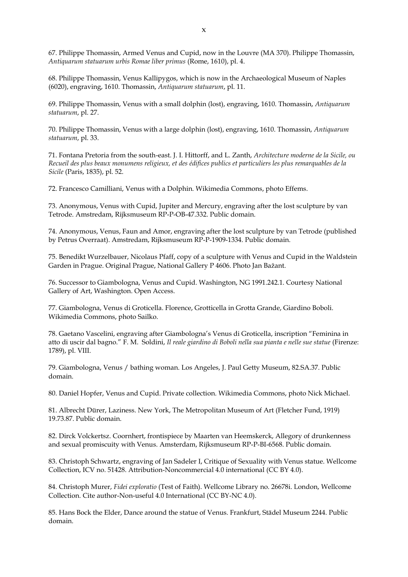67. Philippe Thomassin, Armed Venus and Cupid, now in the Louvre (MA 370). Philippe Thomassin, *Antiquarum statuarum urbis Romae liber primus* (Rome, 1610), pl. 4.

68. Philippe Thomassin, Venus Kallipygos, which is now in the Archaeological Museum of Naples (6020), engraving, 1610. Thomassin, *Antiquarum statuarum*, pl. 11.

69. Philippe Thomassin, Venus with a small dolphin (lost), engraving, 1610. Thomassin, *Antiquarum statuarum*, pl. 27.

70. Philippe Thomassin, Venus with a large dolphin (lost), engraving, 1610. Thomassin, *Antiquarum statuarum*, pl. 33.

71. Fontana Pretoria from the south-east. J. I. Hittorff, and L. Zanth, *Architecture moderne de la Sicile, ou Recueil des plus beaux monumens religieux, et des édifices publics et particuliers les plus remarquables de la Sicile* (Paris, 1835), pl. 52.

72. Francesco Camilliani, Venus with a Dolphin. Wikimedia Commons, photo Effems.

73. Anonymous, Venus with Cupid, Jupiter and Mercury, engraving after the lost sculpture by van Tetrode. Amstredam, Rijksmuseum RP-P-OB-47.332. Public domain.

74. Anonymous, Venus, Faun and Amor, engraving after the lost sculpture by van Tetrode (published by Petrus Overraat). Amstredam, Rijksmuseum RP-P-1909-1334. Public domain.

75. Benedikt Wurzelbauer, Nicolaus Pfaff, copy of a sculpture with Venus and Cupid in the Waldstein Garden in Prague. Original Prague, National Gallery P 4606. Photo Jan Bažant.

76. Successor to Giambologna, Venus and Cupid. Washington, NG 1991.242.1. Courtesy National Gallery of Art, Washington. Open Access.

77. Giambologna, Venus di Groticella. Florence, Grotticella in Grotta Grande, Giardino Boboli. Wikimedia Commons, photo Sailko.

78. Gaetano Vascelini, engraving after Giambologna's Venus di Groticella, inscription "Feminina in atto di uscir dal bagno." F. M. Soldini, *Il reale giardino di Boboli nella sua pianta e nelle sue statue* (Firenze: 1789), pl. VIII.

79. Giambologna, Venus / bathing woman. Los Angeles, J. Paul Getty Museum, 82.SA.37. Public domain.

80. Daniel Hopfer, Venus and Cupid. Private collection. Wikimedia Commons, photo Nick Michael.

81. Albrecht Dürer, Laziness. New York, The Metropolitan Museum of Art (Fletcher Fund, 1919) 19.73.87. Public domain.

82. Dirck Volckertsz. Coornhert, frontispiece by Maarten van Heemskerck, Allegory of drunkenness and sexual promiscuity with Venus. Amsterdam, Rijksmuseum RP-P-BI-6568. Public domain.

83. Christoph Schwartz, engraving of Jan Sadeler I, Critique of Sexuality with Venus statue. Wellcome Collection, ICV no. 51428. Attribution-Noncommercial 4.0 international (CC BY 4.0).

84. Christoph Murer, *Fidei exploratio* (Test of Faith). Wellcome Library no. 26678i. London, Wellcome Collection. Cite author-Non-useful 4.0 International (CC BY-NC 4.0).

85. Hans Bock the Elder, Dance around the statue of Venus. Frankfurt, Städel Museum 2244. Public domain.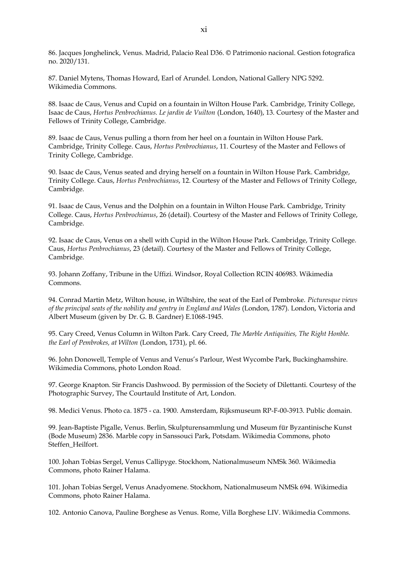86. Jacques Jonghelinck, Venus. Madrid, Palacio Real D36. © Patrimonio nacional. Gestion fotografica no. 2020/131.

87. Daniel Mytens, Thomas Howard, Earl of Arundel. London, National Gallery NPG 5292. Wikimedia Commons.

88. Isaac de Caus, Venus and Cupid on a fountain in Wilton House Park. Cambridge, Trinity College, Isaac de Caus, *Hortus Penbrochianus. Le jardin de Vuilton* (London, 1640), 13. Courtesy of the Master and Fellows of Trinity College, Cambridge.

89. Isaac de Caus, Venus pulling a thorn from her heel on a fountain in Wilton House Park. Cambridge, Trinity College. Caus, *Hortus Penbrochianus*, 11. Courtesy of the Master and Fellows of Trinity College, Cambridge.

90. Isaac de Caus, Venus seated and drying herself on a fountain in Wilton House Park. Cambridge, Trinity College. Caus, *Hortus Penbrochianus*, 12. Courtesy of the Master and Fellows of Trinity College, Cambridge.

91. Isaac de Caus, Venus and the Dolphin on a fountain in Wilton House Park. Cambridge, Trinity College. Caus, *Hortus Penbrochianus*, 26 (detail). Courtesy of the Master and Fellows of Trinity College, Cambridge.

92. Isaac de Caus, Venus on a shell with Cupid in the Wilton House Park. Cambridge, Trinity College. Caus, *Hortus Penbrochianus*, 23 (detail). Courtesy of the Master and Fellows of Trinity College, Cambridge.

93. Johann Zoffany, Tribune in the Uffizi. Windsor, Royal Collection RCIN 406983. Wikimedia Commons.

94. Conrad Martin Metz, Wilton house, in Wiltshire, the seat of the Earl of Pembroke. *Picturesque views of the principal seats of the nobility and gentry in England and Wales* (London, 1787). London, Victoria and Albert Museum (given by Dr. G. B. Gardner) E.1068-1945.

95. Cary Creed, Venus Column in Wilton Park. Cary Creed, *The Marble Antiquities, The Right Honble. the Earl of Pembrokes, at Wilton* (London, 1731), pl. 66.

96. John Donowell, Temple of Venus and Venus's Parlour, West Wycombe Park, Buckinghamshire. Wikimedia Commons, photo London Road.

97. George Knapton. Sir Francis Dashwood. By permission of the Society of Dilettanti. Courtesy of the Photographic Survey, The Courtauld Institute of Art, London.

98. Medici Venus. Photo ca. 1875 - ca. 1900. Amsterdam, Rijksmuseum RP-F-00-3913. Public domain.

99. Jean-Baptiste Pigalle, Venus. Berlin, Skulpturensammlung und Museum für Byzantinische Kunst (Bode Museum) 2836. Marble copy in Sanssouci Park, Potsdam. Wikimedia Commons, photo Steffen\_Heilfort.

100. Johan Tobias Sergel, Venus Callipyge. Stockhom, Nationalmuseum NMSk 360. Wikimedia Commons, photo Rainer Halama.

101. Johan Tobias Sergel, Venus Anadyomene. Stockhom, Nationalmuseum NMSk 694. Wikimedia Commons, photo Rainer Halama.

102. Antonio Canova, Pauline Borghese as Venus. Rome, Villa Borghese LIV. Wikimedia Commons.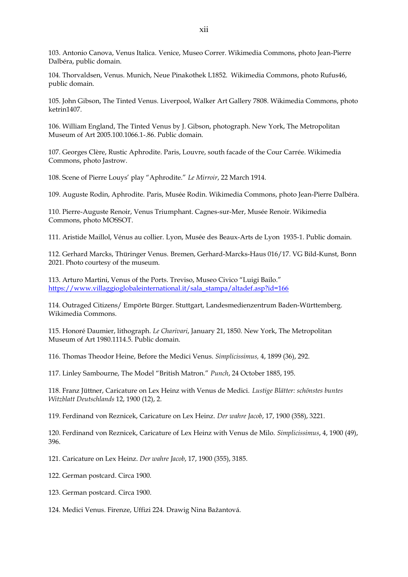103. Antonio Canova, Venus Italica. Venice, Museo Correr. Wikimedia Commons, photo Jean-Pierre Dalbéra, public domain.

104. Thorvaldsen, Venus. Munich, Neue Pinakothek L1852. Wikimedia Commons, photo Rufus46, public domain.

105. John Gibson, The Tinted Venus. Liverpool, Walker Art Gallery 7808. Wikimedia Commons, photo ketrin1407.

106. William England, The Tinted Venus by J. Gibson, photograph. New York, The Metropolitan Museum of Art 2005.100.1066.1-.86. Public domain.

107. Georges Clère, Rustic Aphrodite. Paris, Louvre, south facade of the Cour Carrée. Wikimedia Commons, photo Jastrow.

108. Scene of Pierre Louys' play "Aphrodite." *Le Mirroir*, 22 March 1914.

109. Auguste Rodin, Aphrodite. Paris, Musée Rodin. Wikimedia Commons, photo Jean-Pierre Dalbéra.

110. Pierre-Auguste Renoir, Venus Triumphant. Cagnes-sur-Mer, Musée Renoir. Wikimedia Commons, photo MOSSOT.

111. Aristide Maillol, Vénus au collier. Lyon, Musée des Beaux-Arts de Lyon 1935-1. Public domain.

112. Gerhard Marcks, Thüringer Venus. Bremen, Gerhard-Marcks-Haus 016/17. VG Bild-Kunst, Bonn 2021. Photo courtesy of the museum.

113. Arturo Martini, Venus of the Ports. Treviso, Museo Civico "Luigi Bailo." [https://www.villaggioglobaleinternational.it/sala\\_stampa/altadef.asp?id=166](https://www.villaggioglobaleinternational.it/sala_stampa/altadef.asp?id=166)

114. Outraged Citizens/ Empörte Bürger. Stuttgart, Landesmedienzentrum Baden-Württemberg. Wikimedia Commons.

115. Honoré Daumier, lithograph. *Le Charivari*, January 21, 1850. New York, The Metropolitan Museum of Art 1980.1114.5. Public domain.

116. Thomas Theodor Heine, Before the Medici Venus. *Simplicissimus,* 4, 1899 (36), 292.

117. Linley Sambourne, The Model "British Matron." *Punch*, 24 October 1885, 195.

118. Franz Jüttner, Caricature on Lex Heinz with Venus de Medici. *Lustige Blätter: schönstes buntes Witzblatt Deutschlands* 12, 1900 (12), 2.

119. Ferdinand von Reznicek, Caricature on Lex Heinz. *Der wahre Jacob*, 17, 1900 (358), 3221.

120. Ferdinand von Reznicek, Caricature of Lex Heinz with Venus de Milo. *Simplicissimus*, 4, 1900 (49), 396.

121. Caricature on Lex Heinz. *Der wahre Jacob*, 17, 1900 (355), 3185.

122. German postcard. Circa 1900.

123. German postcard. Circa 1900.

124. Medici Venus. Firenze, Uffizi 224. Drawig Nina Bažantová.